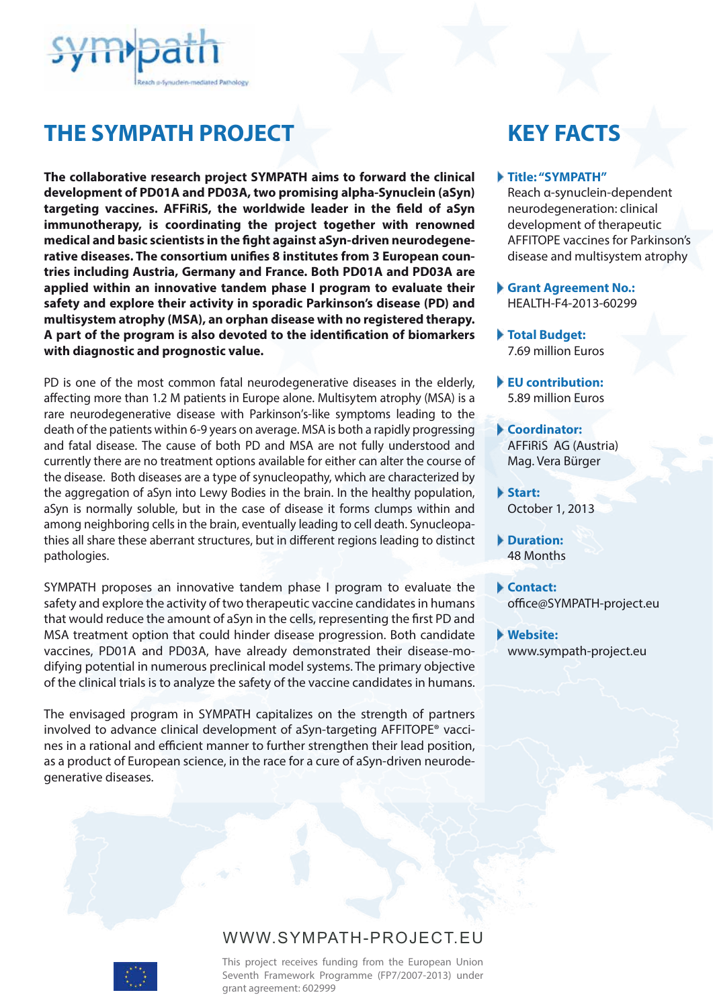

# **THE SYMPATH PROJECT**

**The collaborative research project SYMPATH aims to forward the clinical development of PD01A and PD03A, two promising alpha-Synuclein (aSyn)**  targeting vaccines. AFFiRiS, the worldwide leader in the field of aSyn **immunotherapy, is coordinating the project together with renowned**  medical and basic scientists in the fight against aSyn-driven neurodegenerative diseases. The consortium unifies 8 institutes from 3 European coun**tries including Austria, Germany and France. Both PD01A and PD03A are applied within an innovative tandem phase I program to evaluate their safety and explore their activity in sporadic Parkinson's disease (PD) and multisystem atrophy (MSA), an orphan disease with no registered therapy. A part of the program is also devoted to the identication of biomarkers with diagnostic and prognostic value.**

PD is one of the most common fatal neurodegenerative diseases in the elderly, affecting more than 1.2 M patients in Europe alone. Multisytem atrophy (MSA) is a rare neurodegenerative disease with Parkinson's-like symptoms leading to the death of the patients within 6-9 years on average. MSA is both a rapidly progressing and fatal disease. The cause of both PD and MSA are not fully understood and currently there are no treatment options available for either can alter the course of the disease. Both diseases are a type of synucleopathy, which are characterized by the aggregation of aSyn into Lewy Bodies in the brain. In the healthy population, aSyn is normally soluble, but in the case of disease it forms clumps within and among neighboring cells in the brain, eventually leading to cell death. Synucleopathies all share these aberrant structures, but in different regions leading to distinct pathologies.

SYMPATH proposes an innovative tandem phase I program to evaluate the safety and explore the activity of two therapeutic vaccine candidates in humans that would reduce the amount of aSyn in the cells, representing the first PD and MSA treatment option that could hinder disease progression. Both candidate vaccines, PD01A and PD03A, have already demonstrated their disease-modifying potential in numerous preclinical model systems. The primary objective of the clinical trials is to analyze the safety of the vaccine candidates in humans.

The envisaged program in SYMPATH capitalizes on the strength of partners involved to advance clinical development of aSyn-targeting AFFITOPE® vaccines in a rational and efficient manner to further strengthen their lead position, as a product of European science, in the race for a cure of aSyn-driven neurodegenerative diseases.

# **KEY FACTS**

#### **Title: "SYMPATH"**

Reach α-synuclein-dependent neurodegeneration: clinical development of therapeutic AFFITOPE vaccines for Parkinson's disease and multisystem atrophy

- **Grant Agreement No.:**  HEALTH-F4-2013-60299
- **Total Budget:**  7.69 million Euros
- **EU contribution:**  5.89 million Euros

**Coordinator:**  AFFiRiS AG (Austria) Mag. Vera Bürger

**Start:**  October 1, 2013

**Duration:**  48 Months

**Contact:**  office@SYMPATH-project.eu

**Website:**  www.sympath-project.eu

## WWW.SYMPATH-PROJECT.EU

This project receives funding from the European Union Seventh Framework Programme (FP7/2007-2013) under grant agreement: 602999